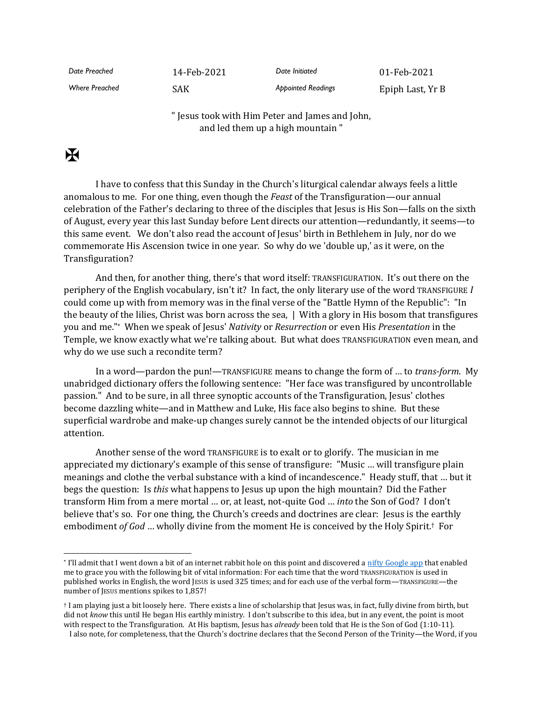*Date Preached* 14-Feb-2021 *Date Initiated* 01-Feb-2021 *Where Preached* SAK *Appointed Readings* Epiph Last, Yr B

> " Jesus took with Him Peter and James and John, and led them up a high mountain "

## $\mathbf F$

I have to confess that this Sunday in the Church's liturgical calendar always feels a little anomalous to me. For one thing, even though the *Feast* of the Transfiguration—our annual celebration of the Father's declaring to three of the disciples that Jesus is His Son—falls on the sixth of August, every year this last Sunday before Lent directs our attention—redundantly, it seems—to this same event. We don't also read the account of Jesus' birth in Bethlehem in July, nor do we commemorate His Ascension twice in one year. So why do we 'double up,' as it were, on the Transfiguration?

And then, for another thing, there's that word itself: TRANSFIGURATION. It's out there on the periphery of the English vocabulary, isn't it? In fact, the only literary use of the word TRANSFIGURE *I* could come up with from memory was in the final verse of the "Battle Hymn of the Republic": "In the beauty of the lilies, Christ was born across the sea, | With a glory in His bosom that transfigures you and me."\* When we speak of Jesus' *Nativity* or *Resurrection* or even His *Presentation* in the Temple, we know exactly what we're talking about. But what does TRANSFIGURATION even mean, and why do we use such a recondite term?

In a word—pardon the pun!—TRANSFIGURE means to change the form of … to *trans-form*. My unabridged dictionary offers the following sentence: "Her face was transfigured by uncontrollable passion." And to be sure, in all three synoptic accounts of the Transfiguration, Jesus' clothes become dazzling white—and in Matthew and Luke, His face also begins to shine. But these superficial wardrobe and make-up changes surely cannot be the intended objects of our liturgical attention.

Another sense of the word TRANSFIGURE is to exalt or to glorify. The musician in me appreciated my dictionary's example of this sense of transfigure: "Music … will transfigure plain meanings and clothe the verbal substance with a kind of incandescence." Heady stuff, that … but it begs the question: Is *this* what happens to Jesus up upon the high mountain? Did the Father transform Him from a mere mortal … or, at least, not-quite God … *into* the Son of God? I don't believe that's so. For one thing, the Church's creeds and doctrines are clear: Jesus is the earthly embodiment *of God* … wholly divine from the moment He is conceived by the Holy Spirit.† For

<sup>\*</sup> I'll admit that I went down a bit of an internet rabbit hole on this point and discovered [a nifty Google app](https://books.google.com/ngrams) that enabled me to grace you with the following bit of vital information: For each time that the word TRANSFIGURATION is used in published works in English, the word JESUS is used 325 times; and for each use of the verbal form—TRANSFIGURE—the number of JESUS mentions spikes to 1,857!

<sup>†</sup> I am playing just a bit loosely here. There exists a line of scholarship that Jesus was, in fact, fully divine from birth, but did not *know* this until He began His earthly ministry. I don't subscribe to this idea, but in any event, the point is moot with respect to the Transfiguration. At His baptism, Jesus has *already* been told that He is the Son of God (1:10-11).

I also note, for completeness, that the Church's doctrine declares that the Second Person of the Trinity—the Word, if you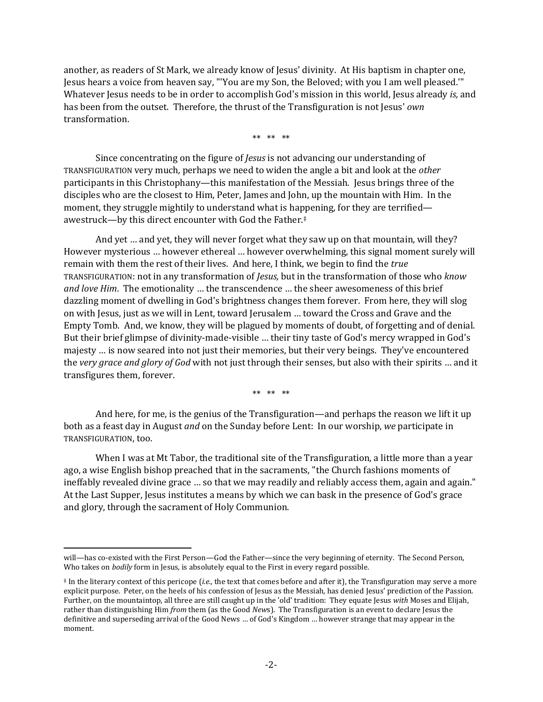another, as readers of St Mark, we already know of Jesus' divinity. At His baptism in chapter one, Jesus hears a voice from heaven say, "'You are my Son, the Beloved; with you I am well pleased.'" Whatever Jesus needs to be in order to accomplish God's mission in this world, Jesus already *is,* and has been from the outset. Therefore, the thrust of the Transfiguration is not Jesus' *own* transformation.

\*\* \*\* \*\*

Since concentrating on the figure of *Jesus* is not advancing our understanding of TRANSFIGURATION very much*,* perhaps we need to widen the angle a bit and look at the *other* participants in this Christophany—this manifestation of the Messiah. Jesus brings three of the disciples who are the closest to Him, Peter, James and John, up the mountain with Him. In the moment, they struggle mightily to understand what is happening, for they are terrified awestruck—by this direct encounter with God the Father.‡

And yet … and yet, they will never forget what they saw up on that mountain, will they? However mysterious … however ethereal … however overwhelming, this signal moment surely will remain with them the rest of their lives. And here, I think, we begin to find the *true* TRANSFIGURATION: not in any transformation of *Jesus,* but in the transformation of those who *know and love Him*. The emotionality … the transcendence … the sheer awesomeness of this brief dazzling moment of dwelling in God's brightness changes them forever. From here, they will slog on with Jesus, just as we will in Lent, toward Jerusalem … toward the Cross and Grave and the Empty Tomb. And, we know, they will be plagued by moments of doubt, of forgetting and of denial. But their brief glimpse of divinity-made-visible … their tiny taste of God's mercy wrapped in God's majesty … is now seared into not just their memories, but their very beings. They've encountered the *very grace and glory of God* with not just through their senses, but also with their spirits … and it transfigures them, forever.

\*\* \*\* \*\*

And here, for me, is the genius of the Transfiguration—and perhaps the reason we lift it up both as a feast day in August *and* on the Sunday before Lent: In our worship, *we* participate in TRANSFIGURATION, too.

When I was at Mt Tabor, the traditional site of the Transfiguration, a little more than a year ago, a wise English bishop preached that in the sacraments, "the Church fashions moments of ineffably revealed divine grace … so that we may readily and reliably access them, again and again." At the Last Supper, Jesus institutes a means by which we can bask in the presence of God's grace and glory, through the sacrament of Holy Communion.

will—has co-existed with the First Person—God the Father—since the very beginning of eternity. The Second Person, Who takes on *bodily* form in Jesus, is absolutely equal to the First in every regard possible.

<sup>‡</sup> In the literary context of this pericope (*i.e.,* the text that comes before and after it), the Transfiguration may serve a more explicit purpose. Peter, on the heels of his confession of Jesus as the Messiah, has denied Jesus' prediction of the Passion. Further, on the mountaintop, all three are still caught up in the 'old' tradition: They equate Jesus *with* Moses and Elijah, rather than distinguishing Him *from* them (as the Good *New*s). The Transfiguration is an event to declare Jesus the definitive and superseding arrival of the Good News … of God's Kingdom … however strange that may appear in the moment.